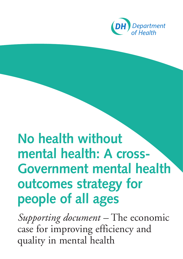

# **No health without mental health: A cross-Government mental health outcomes strategy for people of all ages**

*Supporting document –* The economic case for improving efficiency and quality in mental health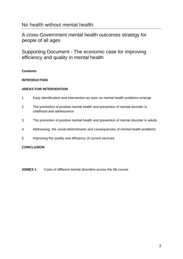# No health without mental health:

A cross-Government mental health outcomes strategy for people of all ages

Supporting Document - The economic case for improving efficiency and quality in mental health

# **Contents**

# **INTRODUCTION**

#### **AREAS FOR INTERVENTION**

- 1 Early identification and intervention as soon as mental health problems emerge
- 2 The promotion of positive mental health and prevention of mental disorder in childhood and adolescence
- 3 The promotion of positive mental health and prevention of mental disorder in adults
- 4 Addressing the social determinants and consequences of mental health problems
- 5 Improving the quality and efficiency of current services

#### **CONCLUSION**

**ANNEX 1** Costs of different mental disorders across the life course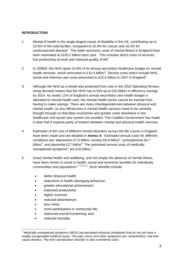# **INTRODUCTION**

- 1. Mental ill health is the single largest cause of disability in the UK, contributing up to 22.8% of the total burden, compared to 15.9% for cancer and 16.2% for cardiovascular disease<sup>[1](#page-25-0)</sup>. The wider economic costs of mental illness in England have been estimated at £105.2 billion each year. This includes direct costs of services, lost productivity at work and reduced quality of life<sup>[2](#page-25-1)</sup>.
- 2. In 2008/9, the NHS spent 10.8% of its annual secondary healthcare budget on mental health services, which amounted to £10.4 billion<sup>3</sup>. Service costs which include NHS, social and informal care costs amounted to £22.5 billion in 2007 in England<sup>[4](#page-25-3)</sup>.
- 3. Although the NHS as a whole was protected from cuts in the 2010 Spending Review, rising demand means that the NHS has to find up to £20 billion in efficiency savings by 2014. As nearly 11% of England's annual secondary care health budget is allocated to mental health care, the mental health sector cannot be exempt from having to make savings. There are many interdependencies between physical and mental health, so any efficiencies in mental health services need to be carefully thought through so that false economies and greater costs elsewhere in the healthcare and social care system are avoided. The Coalition Government has made it clear that it expects parity of esteem between mental and physical health services.
- 4. Estimates of the cost of different mental disorders across the life course in England have been made and are detailed in **Annex A**. Estimated annual costs for different conditions are: depression £7.5 billion, anxiety £8.9 billion<sup>4</sup>, schizophrenia £6.7 billion<sup>5</sup>, and dementia £17 billion<sup>6</sup>. The estimated annual costs of medically unexplained symptoms<sup>[1](#page-2-0)</sup> are £18 billion.<sup>[7](#page-25-6)</sup>
- 5. Good mental health and wellbeing, and not simply the absence of mental illness, have been shown to result in health, social and economic benefits for individuals, communities and populations  $891011$  $891011$  $891011$  $891011$ . Such benefits include:
	- better physical health;
	- reductions in health-damaging behaviour;
	- greater educational achievement;
	- improved productivity;
	- higher incomes;
	- reduced absenteeism;
	- less crime:

 $\overline{a}$ 

- more participation in community life;
- improved overall functioning; and
- reduced mortality.

<span id="page-2-0"></span><sup>1</sup> Medically unexplained symptoms (MUS) are persistent physical complaints that do not yet have a readily recognisable medical cause. The pain, worry and other symptoms are, nevertheless, real and cause distress. The term somatisation disorder is also sometimes used.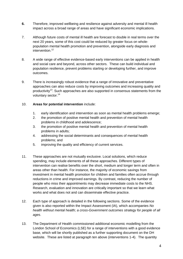- **6.** Therefore, improved wellbeing and resilience against adversity and mental ill health impact across a broad range of areas and have significant economic implications.
- 7. Although future costs of mental ill health are forecast to double in real terms over the next 20 years, some of this cost could be reduced by greater focus on wholepopulation mental health promotion and prevention, alongside early diagnosis and intervention.<sup>12</sup>
- 8. A wide range of effective evidence-based early interventions can be applied in health and social care and beyond, across other sectors. These can build individual and population resilience, prevent problems starting or developing further, and improve outcomes.
- 9. There is increasingly robust evidence that a range of innovative and preventative approaches can also reduce costs by improving outcomes and increasing quality and productivity<sup>13</sup>. Such approaches are also supported in consensus statements from the voluntary sector.<sup>[14](#page-25-13)</sup>

# 10. **Areas for potential intervention** include:

- 1. early identification and intervention as soon as mental health problems emerge;
- 2. the promotion of positive mental health and prevention of mental health problems in childhood and adolescence;
- 3. the promotion of positive mental health and prevention of mental health problems in adults;
- 4. addressing the social determinants and consequences of mental health problems; and
- 5. improving the quality and efficiency of current services.
- 11. These approaches are not mutually exclusive. Local solutions, which reduce spending, may include elements of all these approaches. Different types of intervention can realise benefits over the short, medium and longer term and often in areas other than health. For instance, the majority of economic savings from investment in mental health promotion for children and families often accrue through reductions in crime and improved earnings. By contrast, reducing the number of people who miss their appointments may decrease immediate costs to the NHS. Research, evaluation and innovation are critically important so that we learn what works and what does not and can disseminate effective practice.
- 12. Each type of approach is detailed in the following sections. Some of the evidence given is also reported within the Impact Assessment (IA), which accompanies *No health without mental health; a cross-Government outcomes strategy for people of all ages*.
- 13. The Department of Health commissioned additional economic modelling from the London School of Economics (LSE) for a range of interventions with a good evidence base, which will be shortly published as a further supporting document on the DH website. These are listed at paragraph ten above (interventions 1-4). The quantity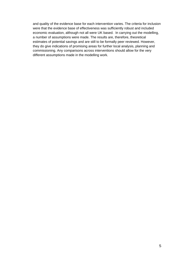and quality of the evidence base for each intervention varies. The criteria for inclusion were that the evidence base of effectiveness was sufficiently robust and included economic evaluation, although not all were UK based. In carrying out the modelling, a number of assumptions were made. The results are, therefore, theoretical estimates of potential savings and are still to be formally peer reviewed. However, they do give indications of promising areas for further local analysis, planning and commissioning. Any comparisons across interventions should allow for the very different assumptions made in the modelling work.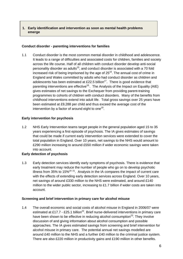# **1. Early identification and intervention as soon as mental health problems emerge**

## **Conduct disorder - parenting interventions for families**

1.1 Conduct disorder is the most common mental disorder in childhood and adolescence. It leads to a range of difficulties and associated costs for children, families and society across the life course. Half of all children with conduct disorder develop anti-social personality disorder as adults<sup>15</sup>, and conduct disorder is associated with a 70 fold increased risk of being imprisoned by the age of  $25^{16}$ . The annual cost of crime in England and Wales committed by adults who had conduct disorder as children and adolescents has been estimated at £22.5 billion<sup>17</sup>. There is good evidence that parenting interventions are effective<sup>18</sup>. The Analysis of the Impact on Equality (AIE) gives estimates of net savings to the Exchequer from providing parent-training programmes to cohorts of children with conduct disorders. Many of the benefits from childhood interventions extend into adult life. Total gross savings over 25 years have been estimated at £9,288 per child and thus exceed the average cost of the intervention by a factor of around eight to one<sup>19</sup>.

#### **Early intervention for psychosis**

1.2 NHS Early Intervention teams target people in the general population aged 15 to 35 years experiencing a first episode of psychosis. The IA gives estimates of savings that could be made if current early intervention services were extended to cover the total population in England. Over 10 years, net savings to the NHS would amount to £290 million increasing to around £550 million if wider economic savings were taken into account.

# **Early detection of psychosis**

1.3 Early detection services identify early symptoms of psychosis. There is evidence that early treatment may reduce the number of people who go on to develop psychotic illness from 35% to 15%<sup>[20](#page-25-19) 21</sup>. Analysis in the IA compares the impact of current care with the effects of extending early detection services across England. Over 10 years, net savings of around £330 million to the NHS were estimated, and around £140 million to the wider public sector, increasing to £1.7 billion if wider costs are taken into account.

#### **Screening and brief intervention in primary care for alcohol misuse**

1.4 The overall economic and social costs of alcohol misuse in England in 2006/07 were estimated at £17.7 - £25.1 billion<sup>22</sup>. Brief nurse-delivered interventions in primary care have been shown to be effective in reducing alcohol consumption<sup>23</sup>. They involve discussion of and giving information about alcohol consumption and possible approaches. The IA gives estimated savings from screening and brief intervention for alcohol misuse in primary care. The potential annual net savings modelled are around £40 million to the NHS and a further £40 million to the criminal justice system. There are also £220 million in productivity gains and £190 million in other benefits.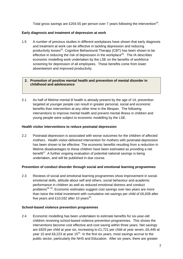Total gross savings are £204.55 per person over 7 years following the intervention<sup>24</sup>.

#### **Early diagnosis and treatment of depression at work**

1.5 A number of previous studies in different workplaces have shown that early diagnosis and treatment at work can be effective in tackling depression and reducing productivity losses<sup>25</sup>. Cognitive Behavioural Therapy (CBT) has been shown to be effective in reducing the risk of depression in the workplace $^{26}$ . The IA describes economic modelling work undertaken by the LSE on the benefits of workforce screening for depression of all employees. These benefits come from lower absenteeism and improved productivity.

#### **2. Promotion of positive mental health and prevention of mental disorder in childhood and adolescence**

2.1 As half of lifetime mental ill health is already present by the age of 14, prevention targeted at younger people can result in greater personal, social and economic benefits than intervention at any other time in the lifespan. The following interventions to improve mental health and prevent mental illness in children and young people were subject to economic modelling by the LSE.

#### **Health visitor interventions to reduce postnatal depression**

2.2 Postnatal depression is associated with worse outcomes for the children of affected mothers. Health visitor-delivered intervention for mothers with postnatal depression has been shown to be effective. The economic benefits resulting from a reduction in lifetime disadvantages to these children have been estimated as providing a net benefit $^{27}$ . A further ongoing evaluation of potential national savings is being undertaken, and will be published in due course.

#### **Prevention of conduct disorder through social and emotional learning programmes**

2.3 Reviews of social and emotional learning programmes show improvement in socialemotional skills, attitude about self and others, social behaviour and academic performance in children as well as reduced emotional distress and conduct problems<sup>[28](#page-25-27) 29</sup>. Economic estimates suggest cost savings over two years are more than twice the initial investment with cumulative net savings per child of £6,639 after five years and £10,032 after 10 years<sup>30</sup>.

#### **School-based violence prevention programmes**

2.4 Economic modelling has been undertaken to estimate benefits for six-year-old children receiving school-based violence prevention programmes. This shows the interventions become cost effective and cost saving within three years. Net savings are £829 per child at year six, increasing to £1,721 per child at year seven, £6,446 at year 10 and £8.223 at year 15<sup>31</sup>. In the first six years, most sayings accrue to the public sector, particularly the NHS and Education. After six years, there are greater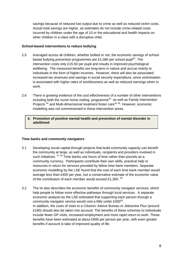savings because of reduced lost output due to crime as well as reduced victim costs. Actual total savings are higher, as estimates do not include crime-related costs incurred by children under the age of 10 or the educational and health impacts on other children in a class with a disruptive child.

#### **School-based interventions to reduce bullying**

- 2.5 Averaged across all children, whether bullied or not, the economic savings of schoolbased bullying prevention programmes are £1,080 per school pupil<sup>32</sup>. The intervention costs only £15.50 per pupil and results in improved psychological wellbeing. The measured benefits are long-term in nature and accrue mainly to individuals in the form of higher incomes. However, there will also be associated increased tax revenues and savings in social security expenditure, since victimisation is associated with higher rates of worklessness as well as reduced earnings when in work.
- 2.6 There is growing evidence of the cost effectiveness of a number of other interventions including both the nurse home visiting programme<sup>33</sup> as well as Family Intervention Projects <sup>34</sup> and Multi-dimensional treatment foster care<sup>35 36</sup>. However, economic modelling was not commissioned in these intervention areas.
	- **3. Promotion of positive mental health and prevention of mental disorder in adulthood**

# **Time banks and community navigators**

- 3.1 Developing social capital through projects that build community capacity can benefit the community at large, as well as individuals, recipients and providers involved in such initiatives. <sup>[37](#page-25-36)</sup> <sup>38</sup> Time banks use hours of time rather than pounds as a community currency. Participants contribute their own skills, practical help or resources in return for services provided by fellow time bank members. Separate economic modelling by the LSE found that the cost of each time bank member would average less than £450 per year, but a conservative estimate of the economic value of the contribution of each member would exceed £1,300.  $39$
- 3.2 The IA also describes the economic benefits of community navigator services, which help people to follow more effective pathways through local services. A separate economic analysis by the LSE estimated that supporting each person through a community navigator service would cost a little under £300<sup>40</sup>. In addition, the costs of visits to a Citizens' Advice Bureau or Jobcentre Plus (around £180) should also be taken into account. The benefits of these schemes to individuals include fewer GP visits, increased employment and more rapid return to work. These benefits have been estimated at about £900 per person per year, with even greater benefits if account is take of improved quality of life.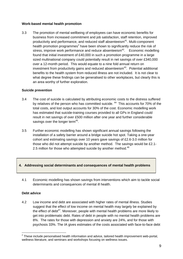# **Work-based mental health promotion**

3.3 The promotion of mental wellbeing of employees can have economic benefits for business from increased commitment and job satisfaction, staff retention, improved productivity and performance, and reduced staff absenteeism<sup>41</sup>. Multi-component health promotion programmes<sup>[2](#page-8-0)</sup> have been shown to significantly reduce the risk of stress, improve work performance and reduce absenteeism $42$ . Economic modelling found that initial investment of £40,000 in such a promotion programme in a large sized multinational company could potentially result in net savings of over £340,000 over a 12-month period. This would equate to a nine fold annual return on investment from productivity gains and reduced absenteeism<sup>43</sup>. Potential additional benefits to the health system from reduced illness are not included. It is not clear to what degree these findings can be generalised to other workplaces, but clearly this is an area worthy of further exploration.

#### **Suicide prevention**

- 3.4 The cost of suicide is calculated by attributing economic costs to the distress suffered by relatives of the person who has committed suicide.<sup>44</sup> This accounts for 70% of the total costs, and lost output accounts for 30% of the cost. Economic modelling work has estimated that suicide-training courses provided to all GPs in England could result in net savings of over £500 million after one year and further considerable savings over the longer term<sup>45</sup>.
- 3.5 Further economic modelling has shown significant annual savings following the installation of a safety barrier around a bridge suicide hot spot. Taking a one-year cohort and estimating savings over 10 years gave savings of £2.6-3.0 million for those who did not attempt suicide by another method. The savings would be £2.1- 2.5 million for those who attempted suicide by another method. $46$

# **4. Addressing social determinants and consequences of mental health problems**

4.1 Economic modelling has shown savings from interventions which aim to tackle social determinants and consequences of mental ill health.

#### **Debt advice**

4.2 Low income and debt are associated with higher rates of mental illness. Studies suggest that the effect of low income on mental health may largely be explained by the effect of debt<sup>47</sup>. Moreover, people with mental health problems are more likely to get into problematic debt. Rates of debt in people with no mental health problems are 8%. The rates for those with depression and anxiety are 24%, and for those with psychosis 33%. The IA gives estimates of the costs associated with face-to-face debt

<span id="page-8-0"></span> 2 These include personalised health information and advice, tailored health improvement web-portal, wellness literature, and seminars and workshops focusing on wellness issues.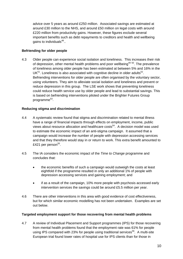advice over 5 years as around £250 million. Associated savings are estimated at around £30 million to the NHS, and around £50 million on legal costs with around £220 million from productivity gains. However, these figures exclude several important benefits such as debt repayments to creditors and health and wellbeing gains to individuals $48$ ..

# **Befriending for older people**

4.3 Older people can experience social isolation and loneliness. This increases their risk of depression, other mental health problems and poor wellbeing<sup>[49](#page-25-46) 50</sup>. The prevalence of loneliness among older people has been estimated at between 5% and 16% in the  $UK<sup>51</sup>$ . Loneliness is also associated with cognitive decline in older adults<sup>52</sup>. Befriending interventions for older people are often organised by the voluntary sector, using volunteers. They aim to alleviate social isolation and loneliness and prevent or reduce depression in this group. The LSE work shows that preventing loneliness could reduce health service use by older people and lead to substantial savings. This is based on befriending interventions piloted under the Brighter Futures Group programme<sup>53</sup>.

# **Reducing stigma and discrimination**

- 4.4 A systematic review found that stigma and discrimination related to mental illness have a range of financial impacts through effects on employment, income, public views about resource allocation and healthcare costs<sup>54</sup>. A decision model was used to estimate the economic impact of an anti-stigma campaign. It assumed that a campaign would increase the number of people with depression accessing services and that they therefore would stay in or return to work. This extra benefit amounted to £421 per person $55$ .
- 4.5 The IA considers the economic impact of the *Time to Change* programme and concludes that:
	- the economic benefits of such a campaign would outweigh the costs at least eightfold if the programme resulted in only an additional 1% of people with depression accessing services and gaining employment; and
	- if as a result of the campaign, 10% more people with psychosis accessed early intervention services the savings could be around £5.5 million per year.
- 4.6 There are other interventions in this area with good evidence of cost effectiveness, but for which similar economic modelling has not been undertaken. Examples are set out below.

# **Targeted employment support for those recovering from mental health problems**

4.7 A review of Individual Placement and Support programmes (IPS) for those recovering from mental health problems found that the employment rate was 61% for people using IPS compared with 23% for people using traditional services<sup>56</sup>. A multi-site European trial found lower rates of hospital use for IPS clients than for those in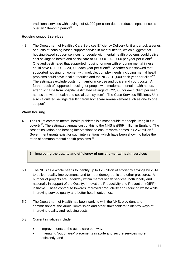traditional services with savings of £6,000 per client due to reduced inpatient costs over an 18-month period<sup>57</sup>.

# **Housing support services**

4.8 The Department of Health's Care Services Efficiency Delivery Unit undertook a series of audits of housing-based support service in mental health, which suggest that housing-based support services for people with mental health problems could deliver cost savings to health and social care of £10,000 – £20,000 per year per client<sup>58</sup>. One audit estimated that supported housing for men with enduring mental illness could save £11,000 - £20,000 each year per client<sup>59</sup>. Another audit showed that supported housing for women with multiple, complex needs including mental health problems could save local authorities and the NHS £12,000 each year per client<sup>60</sup>. The estimates exclude costs from ambulance use and police and court costs. A further audit of supported housing for people with moderate mental health needs, after discharge from hospital, estimated savings of £22,000 for each client per year across the wider health and social care system<sup>61</sup>. The Case Services Efficiency Unit also calculated savings resulting from homecare re-enablement such as one to one support $62$ .

# **Warm housing**

**.**

4.9 The risk of common mental health problems is almost double for people living in fuel poverty<sup>63</sup>. The estimated annual cost of this to the NHS is £859 million in England. The cost of insulation and heating interventions to ensure warm homes is £252 million. $64$ Government grants exist for such interventions, which have been shown to halve the rates of common mental health problems.<sup>65</sup>

# **5. Improving the quality and efficiency of current mental health services**

- 5.1 The NHS as a whole needs to identify up to £20 billion of efficiency savings by 2014 to deliver quality improvements and to meet demographic and other pressures. A number of projects are underway within mental health services, both locally and nationally in support of the Quality, Innovation, Productivity and Prevention (QIPP) initiative. These contribute towards improved productivity and reducing waste while improving service quality and better health outcomes.
- 5.2 The Department of Health has been working with the NHS, providers and commissioners, the Audit Commission and other stakeholders to identify ways of improving quality and reducing costs.
- 5.3 Current initiatives include:
	- improvements to the acute care pathway;
	- managing 'out of area' placements in acute and secure services more efficiently; and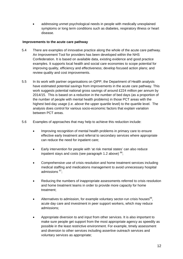• addressing unmet psychological needs in people with medically unexplained symptoms or long term conditions such as diabetes, respiratory illness or heart disease.

# **Improvements to the acute care pathway**

- 5.4 There are examples of innovative practice along the whole of the acute care pathway. An Improvement Tool for providers has been developed within the NHS Confederation. It is based on available data, existing evidence and good practice examples. It supports local health and social care economies to scope potential for improving quality, efficiency and effectiveness; develop focused action plans; and review quality and cost improvements.
- 5.5 In its work with partner organisations on QIPP, the Department of Health analysts have estimated potential savings from improvements in the acute care pathway. This work suggests potential national gross savings of around £224 million per annum by 2014/15. This is based on a reduction in the number of bed days (as a proportion of the number of people with mental health problems) in those PCT areas with the highest bed-day usage (i.e. *above* the upper quartile level) to the quartile level. The analysis does control for various socio-economic factors that explain variation between PCT areas.
- 5.6 Examples of approaches that may help to achieve this reduction include:
	- Improving recognition of mental health problems in primary care to ensure effective early treatment and referral to secondary services where appropriate can reduce the need for inpatient care;
	- Early intervention for people with 'at risk mental states' can also reduce inpatient stays and costs (see paragraph 1.2 above)  $66$ ;
	- Comprehensive use of crisis resolution and home treatment services including medical staffing and medications management to avoid unnecessary hospital admissions [67;](#page-25-60)
	- Reducing the numbers of inappropriate assessments referred to crisis resolution and home treatment teams in order to provide more capacity for home treatment;
	- Alternatives to admission, for example voluntary sector-run crisis houses $^{68}$ , acute day care and investment in peer support workers, which may reduce admissions;
	- Appropriate diversion to and input from other services. It is also important to make sure people get support from the most appropriate agency as speedily as possible in the least restrictive environment. For example, timely assessment and diversion to other services including assertive outreach services and voluntary services as appropriate;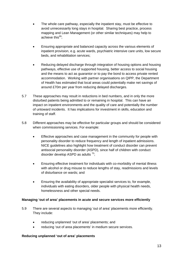- The whole care pathway, especially the inpatient stay, must be effective to avoid unnecessarily long stays in hospital. Sharing best practice, process mapping and Lean Management (or other similar techniques) may help to achieve this $^{69}$ ;
- Ensuring appropriate and balanced capacity across the various elements of inpatient provision, e.g. acute wards, psychiatric intensive care units, low secure beds, and rehabilitation services;
- Reducing delayed discharge through integration of housing options and housing pathways, effective use of supported housing, better access to social housing and the means to act as guarantor or to pay the bond to access private rented accommodation. Working with partner organisations on QIPP, the Department of Health has estimated that local areas could potentially make net savings of around £70m per year from reducing delayed discharges.
- 5.7 These approaches may result in reductions in bed numbers, and in only the more disturbed patients being admitted to or remaining in hospital. This can have an impact on inpatient environments and the quality of care and potentially the number of untoward incidents. It has implications for investment in skills, education and training of staff.
- 5.8 Different approaches may be effective for particular groups and should be considered when commissioning services. For example:
	- Effective approaches and case management in the community for people with personality disorder to reduce frequency and length of inpatient admissions. NICE guidelines also highlight how treatment of conduct disorder can prevent antisocial personality disorder (ASPD), since half of children with conduct disorder develop ASPD as adults  $70$ :
	- Ensuring effective treatment for individuals with co-morbidity of mental illness with alcohol or drug misuse to reduce lengths of stay, readmissions and levels of disturbance on wards; and
	- Ensuring the availability of appropriate specialist services to, for example, individuals with eating disorders, older people with physical health needs, homelessness and other special needs.

#### **Managing 'out of area' placements in acute and secure services more efficiently**

- 5.9 There are several aspects to managing 'out of area' placements more efficiently. They include:
	- reducing unplanned 'out of area' placements; and
	- reducing 'out of area placements' in medium secure services.

#### **Reducing unplanned 'out of area' placements**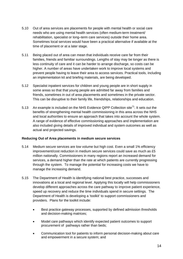- 5.10 Out of area services are placements for people with mental health or social care needs who are using mental health services (often medium-term treatment/ rehabilitation, specialist or long–term care services) outside their home area. Sometimes local services would have been a practical alternative if available at the time of placement or at a later stage.
- 5.11 Being placed out of area can mean that individuals receive care far from their families, friends and familiar surroundings. Lengths of stay may be longer as there is less continuity of care and it can be harder to arrange discharge, so costs can be higher. A number of areas have undertaken work to improve local systems and prevent people having to leave their area to access services. Practical tools, including an implementation kit and briefing materials, are being developed.
- 5.12 Specialist inpatient services for children and young people are in short supply in some areas so that that young people are admitted far away from families and friends, sometimes in out of area placements and sometimes in the private sector. This can be disruptive to their family life, friendships, relationships and education.
- 5.13 An example is included on the NHS Evidence QIPP Collection site<sup>71</sup>. It sets out the benefits of strengthening mental health commissioning in this area across the NHS and local authorities to ensure an approach that takes into account the whole system. A range of evidence of effective commissioning approaches and implementation are also included giving details of improved individual and system outcomes as well as actual and projected savings.

# **Reducing Out of Area placements in medium secure services**

- 5.14 Medium secure services are low volume but high cost. Even a small 1% efficiency improvement/cost reduction in medium secure services could save as much as £5 million nationally. Commissioners in many regions report an increased demand for services, a demand higher than the rate at which patients are currently progressing through the system. To manage the potential for increasing costs we have to manage the increasing demand.
- 5.15 The Department of Health is identifying national best practice, successes and innovations at a local and regional level. Applying this locally will help commissioners develop different approaches across the care pathway to improve patient experience, speed up recovery and reduce the time individuals spend in secure settings. The Department of Health is developing a 'toolkit' to support commissioners and providers. Plans for the toolkit include:
	- Best practice gateway processes, supported by defined admission thresholds and decision-making matrices;
	- Model care pathways which identify expected patient outcomes to support procurement of pathways rather than beds;
	- Communication tool for patients to inform personal decision-making about care and empowerment in a secure system; and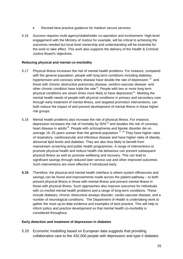- Revised best practice guidance for medium secure services.
- 5.16 Success requires multi-agency/stakeholder co-operation and involvement. High-level engagement with the Ministry of Justice for example, will be critical to achieving the outcomes needed but local level ownership and understanding will be essential for the work to take effect. This work also supports the delivery of the Health & Criminal Justice Board's objectives.

# **Reducing physical and mental co-morbidity**

- 5.17 Physical illness increases the risk of mental health problems. For instance, compared with the general population, people with long term conditions including diabetes, hypertension and coronary artery disease have double the rate of depression  $72$  and those with chronic obstructive pulmonary disease, cerebro-vascular disease and other chronic condition have triple the rate<sup>73</sup>. People with two or more long term physical conditions are seven times more likely to have depression<sup>74</sup>. Meeting the mental health needs of people with physical conditions in primary and secondary care through early treatment of mental illness, and targeted promotion interventions, can both reduce the impact of and prevent development of mental illness in these higher risk groups.
- 5.18 Mental health problems also increase the risk of physical illness. For instance, depression increases the risk of mortality by  $50\%$ <sup>75</sup> and doubles the risk of coronary heart disease in adults<sup>76</sup>. People with schizophrenia and bipolar disorder die on average 16–25 years sooner than the general population.<sup>[77](#page-25-43)</sup>  $^{78}$  They have higher rates of respiratory, cardiovascular and infectious disease and have higher rates of obesity, abnormal lipid levels and diabetes. They are also less likely to benefit from mainstream screening and public health programmes. A range of interventions to promote physical health and reduce health risk behaviour can prevent subsequent physical illness as well as promote wellbeing and recovery. This can lead to significant savings through reduced later service use and other improved outcomes. Such interventions are more effective if introduced early.
- **5.19** Therefore, the physical and mental health interface is where system efficiencies and savings can be found and improvements made across the patient pathway – to both prevent physical illness in those with mental illness and prevent mental illness in those with physical illness. Such approaches also improve outcomes for individuals with co-morbid mental health problems and a range of long-term conditions. These include diabetes, chronic obstructive airways disorder, cardio-vascular disease, and a number of neurological conditions. The Department of Health is undertaking work to gather the most up-to-date evidence and examples of best practice. This will help to inform policy and practice development so that mental health co-morbidity is considered throughout.

# **Early detection and treatment of depression in diabetes**

5.20 Economic modelling based on European data suggests that providing collaborative care to the 432,000 people with depression and type II diabetes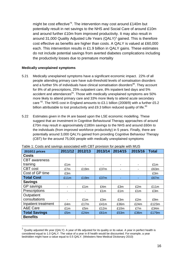might be cost effective<sup>79</sup>. The intervention may cost around £140m but potentially result in net savings to the NHS and Social Care of around £10m and around further £10m from improved productivity. It may also result in around [3](#page-15-0)1,000 Quality Adjusted Life Years  $(QALY)^3$  gained. This is therefore cost effective as benefits are higher than costs. A QALY is valued at £60,000 each. This intervention results in £1.9 billion in QALY gains. These estimates do not include potential savings from averted diabetes complications including the productivity losses due to premature mortality

#### **Medically unexplained symptoms**

 $\overline{a}$ 

- 5.21 Medically unexplained symptoms have a significant economic impact. 22% of all people attending primary care have sub-threshold levels of somatisation disorders and a further 5% of individuals have clinical somatisation disorders<sup>80</sup>. They account for 8% of all prescriptions, 25% outpatient care, 8% inpatient bed days and 5% accident and attendances $81$ . Those with medically unexplained symptoms are 50% more likely to attend primary care and 33% more likely to attend acute secondary care  $^{82}$ . The NHS cost in England amounts to £3.1 billion (2008/9) with a further £5.2 billion attributable to lost productivity and £9.3 billion reduced quality of life. $83$
- 5.22 Estimates given in the IA are based upon the LSE economic modelling. These suggest that an investment in Cognitive Behavioural Therapy approaches of around £70m may result in approximately £180m savings to the NHS and around £60m to the individuals (from improved workforce productivity) in 5 years. Finally, there are potentially around 3,000 QALYs gained from providing Cognitive Behaviour Therapy (CBT) for the around 75,000 people with medically unexplained symptoms

| 2010/11 prices       | 2011/12 | 2012/13 | 2013/14 | 2014/15 | 2015/16 | <b>Total</b> |
|----------------------|---------|---------|---------|---------|---------|--------------|
| <b>Costs</b>         |         |         |         |         |         |              |
| <b>CBT</b> awareness |         |         |         |         |         |              |
| training             | £1m     |         |         |         | ۰       | £1m          |
| <b>CBT</b> cost      | £7m     | £19m    | £37m    |         |         | £63m         |
| Cost of GP time      | £3m     |         |         |         |         | £3m          |
| <b>Total Cost</b>    | £11m    | £19m    | £37m    |         |         | £67m         |
| <b>Savings</b>       |         |         |         |         |         |              |
| GP savings           |         | £1m     | £4m     | £3m     | £2m     | £11m         |
| Prescriptions        |         |         | £1m     | £1m     | £1m     | £3m          |
| Outpatient           |         |         |         |         |         |              |
| consultations        |         | £1m     | £3m     | £3m     | £2m     | £9m          |
| Inpatient treatment  | £4m     | £17m    | £41m    | £36m    | £24m    | £123m        |
| A&E Care             | £1m     | £5m     | £12m    | £10m    | £7m     | £34m         |
| <b>Total Savings</b> | £5m     | £24m    | £61m    | £53m    | £36m    | £179m        |
| <b>Benefits</b>      |         |         |         |         |         |              |

<span id="page-15-0"></span> $3$  Quality adjusted life year (QALY): A year of life adjusted for its quality or its value. A year in perfect health is considered equal to 1.0 QALY. The value of a year in ill health would be discounted. For example, a year bedridden might have a value equal to 0.5 QALY. (Websters New Medical Dictionary 2010)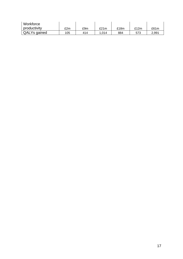| Workforce    |     |     |       |      |      |       |
|--------------|-----|-----|-------|------|------|-------|
| productivity | £2m | £9m | £21m  | £18m | £12m | £61m  |
| QALYs gained | 105 | 414 | 1.014 | 884  | 573  | 2.991 |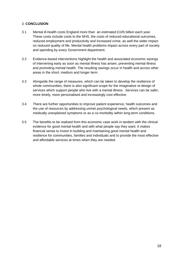# 3. **CONCLUSION**

- 3.1 Mental ill-health costs England more than an estimated £105 billion each year. These costs include costs to the NHS, the costs of reduced educational outcomes, reduced employment and productivity and increased crime, as well the wider impact on reduced quality of life. Mental health problems impact across every part of society and spending by every Government department.
- 3.2 Evidence-based interventions highlight the health and associated economic savings of intervening early as soon as mental illness has arisen, preventing mental illness and promoting mental health. The resulting savings occur in health and across other areas in the short, medium and longer term.
- 3.3 Alongside the range of measures, which can be taken to develop the resilience of whole communities, there is also significant scope for the imaginative re-design of services which support people who live with a mental illness. Services can be safer, more timely, more personalised and increasingly cost effective.
- 3.4 There are further opportunities to improve patient experience, health outcomes and the use of resources by addressing unmet psychological needs, which present as medically unexplained symptoms or as a co-morbidity within long-term conditions.
- 3.5 The benefits to be realised from this economic case work in tandem with the clinical evidence for good mental health and with what people say they want. It makes financial sense to invest in building and maintaining good mental health and resilience for communities, families and individuals and to provide the most effective and affordable services at times when they are needed.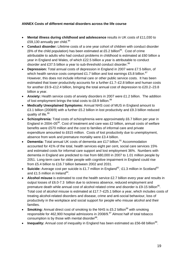# **ANNEX Costs of different mental disorders across the life course**

- **Mental illness during childhood and adolescence** results in UK costs of £11,030 to £59,130 annually per child. $84$
- **Conduct disorder:** Lifetime costs of a one year cohort of children with conduct disorder (6% of the child population) has been estimated at £5.2 billion<sup>85</sup>. Cost of crime attributable to adults who had conduct problems in childhood is estimated at £60 billion a year in England and Wales, of which £22.5 billion a year is attributable to conduct disorder and £37.5 billion a year to sub-threshold conduct disorder.<sup>[86](#page-25-71)</sup>
- **Depression:** Total annual costs of depression in England in 2007 were £7.5 billion, of which health service costs comprised £1.7 billion and lost earnings £5.8 billion.<sup>87</sup> However, this does not include informal care or other public service costs. It has been estimated that lower productivity accounts for a further £1.7–£2.8 billion and human costs for another £9.9–£12.4 billion, bringing the total annual cost of depression to £20.2–23.8 billion a year.
- **Anxiety:** Health service costs of anxiety disorders in 2007 were £1.2 billion. The addition of lost employment brings the total costs to £8.9 billion.<sup>[88](#page-25-73)</sup>
- **Medically Unexplained Symptoms:** Annual NHS cost of MUS in England amount to £3.1 billion (2008/9) with a further £5.2 billion in lost productivity and £9.3 billion reduced quality of life.<sup>[89](#page-25-74)</sup>
- **Schizophrenia:** Total costs of schizophrenia were approximately £6.7 billion per year in England in 2004–05 $^{90}$ . Cost of treatment and care was £2 billion, annual costs of welfare benefits were £570 million and the cost to families of informal care and private expenditure amounted to £615 million. Costs of lost productivity due to unemployment, absence from work and premature mortality were £3.4 billion.
- **Dementia:** Total annual UK costs of dementia are £17 billion.<sup>91</sup> Accommodation accounted for 41% of the total, health services eight per cent, social care services 15% and estimated costs for informal care support and lost employment 36%. Numbers with dementia in England are predicted to rise from 680,000 in 2007 to 1.01 million people by 2051.. Long-term care for older people with cognitive impairment in England could rise from £5.4 billion to £16.7 billion between 2002 and 2031.
- Suicide: Average cost per suicide is £1.7 million in England<sup>92</sup>, £1.3 million in Scotland<sup>[93](#page-25-30)</sup> and £1.5 million in Ireland<sup>94</sup>.
- **Alcohol misuse** is estimated to cost the health service £2.7 billion every year and results in output losses of £6.0-7.3 billion due to sickness absence, reduced employment and premature death while annual cost of alcohol related crime and disorder is £9-15 billion<sup>95</sup>. Total cost of alcohol misuse is estimated at £17.7–£25.1 billion a year, which includes costs of treating alcohol-related disorders and disease, crime and anti-social behaviour, loss of productivity in the workplace and social support for people who misuse alcohol and their families.
- **Smoking:** Annual direct cost of smoking to the NHS is £5.2 billion<sup>96</sup> with smoking responsible for 462,900 hospital admissions in 2008/9.[97](#page-25-20) Almost half of total tobacco consumption is by those with mental disorder $98$ .
- **Inequality:** Annual cost of inequality in England has been estimated as £56-68 billion<sup>99</sup>.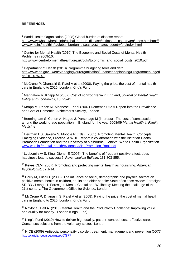# **REFERENCES**

 $\overline{a}$ <sup>1</sup> World Health Organisation (2008) Global burden of disease report [http://www.who.int/healthinfo/global\\_burden\\_disease/estimates\\_country/en/index.htmlhttp://](http://www.who.int/healthinfo/global_burden_disease/estimates_country/en/index.html) www.who.int/healthinfo/global\_burden\_disease/estimates\_country/en/index.html

 $2$  Centre for Mental Health (2010) The Economic and Social Costs of Mental Health Problems in 2009/10.

[http://www.centreformentalhealth.org.uk/pdfs/Economic\\_and\\_social\\_costs\\_2010.pdf](http://www.centreformentalhealth.org.uk/pdfs/Economic_and_social_costs_2010.pdf)

 $3$  Department of Health (2010) Programme budgeting tools and data [http://www.dh.gov.uk/en/Managingyourorganisation/Financeandplanning/Programmebudgeti](http://www.dh.gov.uk/en/Managingyourorganisation/Financeandplanning/Programmebudgeting/DH_075743) [ng/DH\\_075743](http://www.dh.gov.uk/en/Managingyourorganisation/Financeandplanning/Programmebudgeting/DH_075743) 

 $4$  McCrone P, Dhanasiri S, Patel A et al (2008). Paying the price: the cost of mental health care in England to 2026. London: King's Fund.

5 Mangalore R, Knapp M (2007) Cost of schizophrenia in England, *Journal of Mental Health Policy and Economics*, 10, 23-41

 $6$  Knapp M, Prince M, Albanese E et al (2007) Dementia UK: A Report into the Prevalence and Cost of Dementia, Alzheimer's Society, London

 $7$  Bermingham S, Cohen A, Hague J, Parsonage M (in press) The cost of somatisation among the working-age population in England for the year 2008/09 *Mental Health in Family Medicine*

<sup>8</sup> Herrman HS, Saxena S, Moodie R (Eds). (2005). Promoting Mental Health: Concepts, Emerging Evidence, Practice. A WHO Report in collaboration with the Victorian Health Promotion Foundation and the University of Melbourne. Geneva: World Health Organization. [www.who.int/mental\\_health/evidence/MH\\_Promotion\\_Book.pdf](http://www.who.int/mental_health/evidence/MH_Promotion_Book.pdf)

 $9$  Lyubomirsky S, King, Diener E (2005). The benefits of frequent positive affect: does happiness lead to success? *Psychological Bulletin*, 131:803-855.

10 Keyes CLM (2007). Promoting and protecting mental health as flourishing. *American Psychologist*, 62:1-14.

 $11$  Barry M, Friedli L (2008). The influence of social, demographic and physical factors on positive mental health in children, adults and older people: State of science review. Foresight SR-B3 v1 stage 1. Foresight. Mental Capital and Wellbeing: Meeting the challenge of the 21st century. The Government Office for Science, London.

 $12$  McCrone P, Dhanasiri S, Patel A et al (2008). Paying the price: the cost of mental health care in England to 2026. London: King's Fund.

<sup>13</sup> Naylor C, Bell A. (2010) Mental Health and the Productivity Challenge: Improving value and quality for money. London Kings Fund)

<sup>14</sup> King's Fund (2010) How to deliver high quality, patient- centred, cost- effective care. Consensus solutions from the voluntary sector. London

<sup>15</sup> NICE (2009) Antisocial personality disorder, treatment, management and prevention CG77 <http://guidance.nice.org.uk/CG77>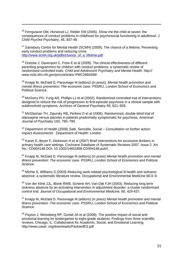<sup>16</sup> Ferrgusson DM, Horwood LJ, Ridder EM (2005). Show me the child at seven: the consequences of conduct problems in childhood for psychosocial functioning in adulthood. *J Child Psychol Psychiatry*, 46, 837-49.

 $\overline{a}$ 

<sup>17</sup> Sainsbury Centre for Mental Health (SCMH) (2009). The chance of a lifetime. Preventing early conduct problems and reducing crime. [http://www.scmh.org.uk/pdfs/chance\\_of\\_a\\_lifetime.pdf](http://www.scmh.org.uk/pdfs/chance_of_a_lifetime.pdf)

<sup>18</sup> Dretzke J, Davenport C, Frew E et al (2009). The clinical effectiveness of different parenting programmes for children with conduct problems: a systematic review of randomised controlled trials. *Child and Adolescent Psychiatry and Mental Health*. http:// www.ncbi.nlm.nih.gov/pmc/articles/ PMC2660289/

19 Knapp M, McDaid D, Parsonage M (editors) (in press). *Mental health promotion and mental illness prevention: The economic case*. PSSRU, London School of Economics and Political Science.

 $20$  McGorry PD, Yung AR, Phillips LJ et al (2002). Randomized controlled trial of interventions designed to reduce the risk of progression to first-episode psychosis in a clinical sample with subthreshold symptoms. *Archives of General Psychiatry* 59, 921–928.

 $21$  McGlashan TH, Zipursky RB, Perkins D et al (2006). Randomized, double-blind trial of olanzapine versus placebo in patients prodromally symptomatic for psychosis. *American Journal of Psychiatry* 163, 790–799.

22 Department of Health (2008) *Safe, Sensible, Social – Consultation on further action: Impact Assessments.* Department of Health: London

 $23$  Kaner E, Beyer F, Dickinson H et al (2007) Brief interventions for excessive drinkers in primary health care settings. Cochrane Database of Systematic Reviews 2007, Issue 2. Art No.: CD004148 DOI: 10.1002/14651858.CD004148.pub3.

24 Knapp M, McDaid D, Parsonage M (editors) (in press) *Mental health promotion and mental illness prevention: The economic case*. PSSRU, London School of Economics and Political Science.

 $25$  Michie S, Williams S (2003) Reducing work-related psychological ill health and sickness absence: a systematic literature review. Occupational and Environmental Medicine 60:3–9.

<sup>26</sup> Van der Klink JJL, Blonk RWB, Schene AH, Van Dijk FJH (2003), Reducing long term sickness absence by an activating intervention in adjustment disorder: a cluster randomised control trial. *Journal of Occupational and Environmental Medicine*, 60, 429-437.

27 Knapp M, McDaid D, Parsonage M (editors) (in press) *Mental health promotion and mental illness prevention: The economic case*. PSSRU, London School of Economics and Political Science.

 $28$  Payton J. Weissberg RP, Durlak JA et al (2008). The positive impact of social and emotional learning for kindergarten to eight-grade students: Findings from three scientific reviews. Chicago, IL: Collaborative for Academic, Social, and Emotional Learning. http://www.casel. org/downloads/PackardES.pdf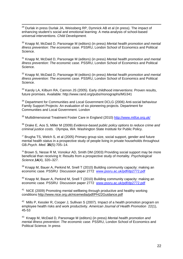<sup>29</sup> Durlak in press Durlak JA, Weissberg RP, Dymnick AB et al (in press). The impact of enhancing student's social and emotional learning: A meta-analysis of school-based universal interventions. *Child Development.* 

30 Knapp M, McDaid D, Parsonage M (editors) (in press) *Mental health promotion and mental illness prevention: The economic case*. PSSRU, London School of Economics and Political Science.

31 Knapp M, McDaid D, Parsonage M (editors) (in press) *Mental health promotion and mental illness prevention: The economic case*. PSSRU, London School of Economics and Political Science.

32 Knapp M, McDaid D, Parsonage M (editors) (in press) *Mental health promotion and mental illness prevention: The economic case*. PSSRU, London School of Economics and Political Science.

<sup>33</sup> Karoly LA, Kilburn RA, Cannon JS (2005). Early childhood interventions: Proven results, future promises. Available: http://www.rand.org/pubs/monographs/MG341

<sup>34</sup> Department for Communities and Local Government DCLG (2006) Anti-social behaviour Family Support Projects: An evaluation of six pioneering projects. Department for Communities and Local Government. London

<sup>35</sup> Multidimensional Treatment Foster Care in England (2010) <http://www.mtfce.org.uk/>

36 Drake E, Aos S, Miller M (2009) *Evidence-based public policy options to reduce crime and criminal justice costs.* Olympia, WA: Washington State Institute for Public Policy.

 $37$  Brugha TS, Welch S, et al (2005) Primary group size, social support, gender and future mental health status in a prospective study of people living in private households throughout GB.*Psych. Med*. **35**(5):705–14.

 $38$  Brown S, Nesse R M, Vonokur AD, Smith DM (2003) Providing social support may be more beneficial than receiving It: Results from a prospective study of mortality. *Psychological Science*,**14**(4), 320–327.

 $39$  Knapp M, Bauer A, Perkind M, Snell T (2010) Building community capacity: making an economic case. PSSRU Discussion paper 2772 [www.pssru.ac.uk/pdf/dp2772.pdf](http://www.pssru.ac.uk/pdf/dp2772.pdf)

<sup>40</sup> Knapp M, Bauer A, Perkind M, Snell T (2010) Building community capacity; making an economic case. PSSRU Discussion paper 2772 [www.pssru.ac.uk/pdf/dp2772.pdf](http://www.pssru.ac.uk/pdf/dp2772.pdf)

<sup>41</sup> NICE (2009) Promoting mental wellbeing through productive and healthy working conditions<http://www.nice.org.uk/nicemedia/pdf/PH22Guidance.pdf>

<sup>42</sup> Mills P, Kessler R, Cooper J, Sullivan S (2007). Impact of a health promotion program on employee health risks and work productivity. *American Journal of Health Promotion* 22(1), 45-53

43 Knapp M, McDaid D, Parsonage M (editors) (in press) *Mental health promotion and mental illness prevention: The economic case*. PSSRU, London School of Economics and Political Science. In press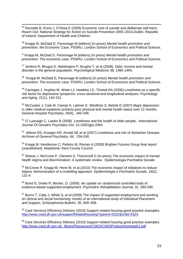44 Kennelly B, Ennis J, O'Shea E (2005) Economic cost of suicide and deliberate self-harm. Reach Out: National Strategy for Action on Suicide Prevention 2005–2014.Dublin, Republic of Ireland: Department of Health and Children.

45 Knapp M, McDaid D, Parsonage M (editors) (in press) *Mental health promotion and prevention: the Economic Case*. PSSRU, London School of Economics and Political Science.

<sup>46</sup> Knapp M, McDaid D, Parsonage M (editors) (in press) *Mental health promotion and prevention: The economic case*. PSSRU, London School of Economics and Political Science.

 $47$  Jenkins R, Bhugra D, Bebbington P, Brugha T, et al (2008). Debt, income and mental disorder in the general population. *Psychological Medicine* 38, 1485-1494.

48 Knapp M, McDaid D, Parsonage M (editors) (in press) *Mental health promotion and prevention: The economic case*. PSSRU, London School of Economics and Political Science.

49 Cacioppo J, Hughes M, Waite LJ, Hawkley LC, Thisted RA (2006) Loneliness as a specific risk factor for depressive symptoms: cross-sectional and longitudinal analyses. *Psychology and Aging*, 21(1), 140-151.

50 McCusker J, Cole M, Ciampi A, Latimer E, Windholz S, Belzile E (2007) Major depression in older medical inpatients predicts poor physical and mental health status over 12 months. *General Hospital Psychiatry*, 29(4), 340-348.

51 O´Luanaigh C, Lawlor B (2008) Loneliness and the health of older people, *International Journal Of Geriatric Psychiatry* Doi: 10.1002/gps.2054

52 Wilson RS, Krueger KR, Arnold SE et al (2007) Loneliness and risk of Alzheimer Disease. *Archives of General Psychiatry*, 64, 234-240.

<sup>53</sup> Knapp M. Henderson C, Perkins M, Roman A (2009) Brighter Futures Group final report (unpublished). Maidstone: Kent County Council.

54 Sharac J, McCrone P, Clement S, Thornicroft G (in press) The economic impact of mental health stigma and discrimination: A systematic review. Epidemiologia Psichiatria Sociale

<sup>55</sup> McCrone P, Knapp M, Henri M, et al (2010) The economic impact of initiatives to reduce stigma: demonstration of a modelling approach. *Epidemiologia e Psichiatria Sociale,* 19(2), 131-9

<sup>56</sup> Bond G, Drake R, Becker, D. (2008). An update on randomized controlled trials of evidence-based supported employment. *Psychiatric Rehabilitation Journal, 31*, 280-290.

57 Burns T, Catty J, White S, *et al* (2009) The impact of supported employment and working on clinical and social functioning: results of an international study of Individual Placement and Support. *Schizophrenia Bulletin*, 35, 949–958.

<sup>58</sup> Care Services Efficiency Delivery (2010) Support related housing good practice examples. <http://www.csed.dh.gov.uk/supportRelatedHousing/?parent=5322&child=5324>

<sup>59</sup> Care Services Efficiency Delivery (2010) Support related housing good practice examples. [http://www.csed.dh.gov.uk/\\_library/Resources/CSED/CSEDProduct/nextstep01.pdf](http://www.csed.dh.gov.uk/_library/Resources/CSED/CSEDProduct/nextstep01.pdf)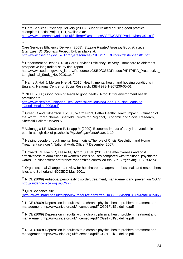<sup>60</sup> Care Services Efficiency Delivery (2008), Support related housing good practice examples: Hestia Project, DH, available at:

[http://www.dhcarenetworks.org.uk/\\_library/Resources/CSED/CSEDProduct/hestia01.pdf](http://www.dhcarenetworks.org.uk/_library/Resources/CSED/CSEDProduct/hestia01.pdf)

**61** 

Care Services Efficiency Delivery (2008), *Support Related Housing Good Practice Examples, St. Stephens Project,* DH, available at: [http://www.csed.dh.gov.uk/\\_library/Resources/CSED/CSEDProduct/ststephens01.pdf](http://www.csed.dh.gov.uk/_library/Resources/CSED/CSEDProduct/ststephens01.pdf)

<sup>62</sup> Department of Health (2010) Care Services Efficiency Delivery. Homecare re-ablement prospective longitudinal study final report.

http://www.csed.dh.gov.uk/\_library/Resources/CSED/CSEDProduct/HRT/HRA\_Prospective Longitudinal\_Study\_Nov20101.pdf

 $63$  Harris J, Hall J, Meltzer H et al, (2010) Health, mental health and housing conditions in England. National Centre for Social Research. ISBN 978-1-907236-05-01

 $64$  CIEH (2008) Good housing leads to good health. A tool kit for environment health practitioners.

http://www.cieh/org/uploadedFiles/Core/Policy/Housing/Good\_Housing\_leads\_to [\\_Good\\_Health\\_2008.pdf](http://www.cieh/org/uploadedFiles/Core/Policy/Housing/Good_Housing_leads_to _Good_Health_2008.pdf)

<sup>65</sup> Green G and Gilbertson J (2008) Warm Front, Better Health: Health Impact Evaluation of the Warm Front Scheme. Sheffield: Centre for Regional, Economic and Social Research, Sheffield Hallam University

<sup>66</sup> Valmaggia LR, McCrone P, Knapp M (2009). Economic impact of early intervention in people at high risk of psychosis *Psychological Medicine*, 1-10.

<sup>67</sup> Helping people through mental health crisis: The role of Crisis Resolution and Home Treatment services", National Audit Office, 7 December 2007.

68 Howard LM, Flach C, Leese M, Byford S et al (2010) The effectiveness and cost effectiveness of admissions to women's crisis houses compared with traditional psychiatric wards – a pilot patient preference randomized controlled trial. *Br J Psychiatry,* 197, s32-s40.

 $69$  Organisational Change – a review for healthcare managers, professionals and researchers Isles and Sutherland NCCSDO May 2001.

 $70$  NICE (2009) Antisocial personality disorder, treatment, management and prevention CG77 <http://guidance.nice.org.uk/CG77>

<sup>71</sup> QIPP evidence site

(<http://www.library.nhs.uk/qipp/ViewResource.aspx?resID=330553&tabID=289&catID=15068>

 $72$  NICE (2009) Depression in adults with a chronic physical health problem: treatment and management http://www.nice.org.uk/nicemedia/pdf/ CG91FullGuideline.pdf

 $73$  NICE (2009) Depression in adults with a chronic physical health problem: treatment and management http://www.nice.org.uk/nicemedia/pdf/ CG91FullGuideline.pdf

 $74$  NICE (2009) Depression in adults with a chronic physical health problem: treatment and management http://www.nice.org.uk/nicemedia/pdf/ CG91FullGuideline.pdf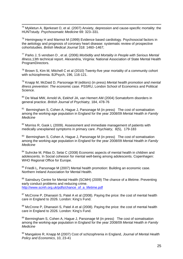$75$  Mykletun A, Bjerkeset O, et al. (2007) Anxiety, depression and cause-specific mortality: the HUNTstudy. *Psychosomatic Medicine* 69: 323–331.

 $76$  Hemingway H and Marmot M (1999) Evidence based cardiology. Psychosocial factors in the aetiology and prognosis of coronary heart disease: systematic review of prospective cohortstudies. *British Medical Journal* 318: 1460–1467;

77 Parks J, S vendsen D , et al. (2006) *Morbidity and Mortality in People with Serious Mental Illness*,13th technical report. Alexandria, Virginia: National Association of State Mental Health ProgramDirectors.

 $78$  Brown S, Kim M, Mitchell C et al (2010) Twenty-five year mortality of a community cohort with schizophrenia. BJPsych, 196, 116-121.

79 Knapp M, McDaid D, Parsonage M (editors) (in press) *Mental health promotion and mental illness prevention: The economic case*. PSSRU, London School of Economics and Political Science.

80 De Waal MW, Arnold IA, Eekhof JA, van Hemert AM (2004) Somatoform disorders in general practice. *British Journal of Psychiatry,* 184, 478-76

 $81$  Bermingham S, Cohen A, Hague J, Parsonage M (in press) The cost of somatisation among the working-age population in England for the year 2008/09 *Mental Health in Family Medicine*

 $82$  Morriss R, Gask L (2009). Assessment and immediate management of patients with medically unexplained symptoms in primary care. *Psychiatry,* 8(5), 179-183

<sup>83</sup> Bermingham S, Cohen A, Hague J, Parsonage M (in press) The cost of somatisation among the working-age population in England for the year 2008/09 *Mental Health in Family Medicine*

<sup>84</sup> Suhrcke M, Pillas D, Selai C (2008) Economic aspects of mental health in children and adolescents. In Social cohesion for mental well-being among adolescents. Copenhagen: WHO Regional Office for Europe.

<sup>85</sup> Friedli L, Parsonage M (2007) Mental health promotion: Building an economic case. Northern Ireland Association for Mental Health.

<sup>86</sup> Sainsbury Centre for Mental Health (SCMH) (2009) The chance of a lifetime. Preventing early conduct problems and reducing crime. [http://www.scmh.org.uk/pdfs/chance\\_of\\_a\\_lifetime.pdf](http://www.scmh.org.uk/pdfs/chance_of_a_lifetime.pdf)

 $87$  McCrone P, Dhanasiri S, Patel A et al (2008). Paying the price: the cost of mental health care in England to 2026. London: King's Fund.

88 McCrone P, Dhanasiri S, Patel A et al (2008). Paying the price: the cost of mental health care in England to 2026. London: King's Fund.

<sup>89</sup> Bermingham S, Cohen A, Hague J, Parsonage M (in press) The cost of somatisation among the working-age population in England for the year 2008/09 *Mental Health in Family Medicine*

90 Mangalore R, Knapp M (2007) Cost of schizophrenia in England, *Journal of Mental Health Policy and Economics*, 10, 23-41